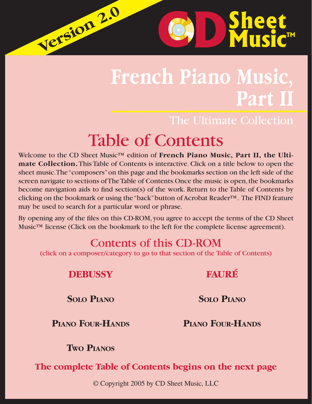# **French Piano Music, Part II**

### The Ultimate Collection

**D**Sheet

**C D** Sheet

# Table of Contents

Welcome to the CD Sheet Music™ edition of **French Piano Music, Part II, the Ultimate Collection.** This Table of Contents is interactive. Click on a title below to open the sheet music. The "composers" on this page and the bookmarks section on the left side of the screen navigate to sections of The Table of Contents.Once the music is open, the bookmarks become navigation aids to find section(s) of the work. Return to the Table of Contents by clicking on the bookmark or using the "back" button of Acrobat Reader™. The FIND feature may be used to search for a particular word or phrase.

By opening any of the files on this CD-ROM, you agree to accept the terms of the CD Sheet Music™ license (Click on the bookmark to the left for the complete license agreement).

## Contents of this CD-ROM

(click on a composer/category to go to that section of the Table of Contents)

| <b>DEBUSSY</b> |
|----------------|
|----------------|

**Version 2.0 Version 2.0**

**SOLO P[IANO](#page-1-0)**

**SOLO P[IANO](#page-4-0)**

**[FAURÉ](#page-4-0)**

#### **PIANO FOUR-H[ANDS](#page-3-0)**

**PIANO FOUR-H[ANDS](#page-5-0)**

**TWO P[IANOS](#page-3-0)**

**The complete Table of Contents begins on the next page**

© Copyright 2005 by CD Sheet Music, LLC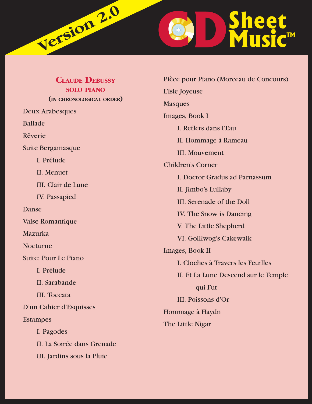<span id="page-1-0"></span>

| <b>CLAUDE DEBUSSY</b>       | Pièce pour Piano (Morceau de Concours)               |
|-----------------------------|------------------------------------------------------|
| <b>SOLO PIANO</b>           | L'isle Joyeuse                                       |
| (IN CHRONOLOGICAL ORDER)    | <b>Masques</b>                                       |
| <b>Deux Arabesques</b>      | Images, Book I                                       |
| <b>Ballade</b>              | I. Reflets dans l'Eau                                |
| Rêverie                     | II. Hommage à Rameau                                 |
| Suite Bergamasque           | <b>III.</b> Mouvement                                |
| I. Prélude                  | <b>Children's Corner</b>                             |
| II. Menuet                  | I. Doctor Gradus ad Parnassum<br>II. Jimbo's Lullaby |
| III. Clair de Lune          |                                                      |
| <b>IV.</b> Passapied        | III. Serenade of the Doll                            |
| Danse                       |                                                      |
| Valse Romantique            | IV. The Snow is Dancing                              |
| Mazurka                     | V. The Little Shepherd                               |
| Nocturne                    | VI. Golliwog's Cakewalk                              |
| <b>Suite: Pour Le Piano</b> | Images, Book II                                      |
| I. Prélude                  | I. Cloches à Travers les Feuilles                    |
|                             | II. Et La Lune Descend sur le Temple                 |
| II. Sarabande               | qui Fut                                              |
| <b>III.</b> Toccata         | III. Poissons d'Or                                   |
| D'un Cahier d'Esquisses     | Hommage à Haydn                                      |
| <b>Estampes</b>             | The Little Nigar                                     |
| I. Pagodes                  |                                                      |
| II. La Soirée dans Grenade  |                                                      |
| III. Jardins sous la Pluie  |                                                      |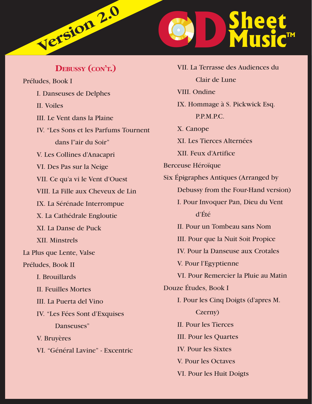

Préludes, Book I I. Danseuses de Delphes II. Voiles III. Le Vent dans la Plaine IV. "Les Sons et les Parfums Tournent dans l"air du Soir" V. Les Collines d'Anacapri VI. Des Pas sur la Neige VII. Ce qu'a vi le Vent d'Ouest VIII. La Fille aux Cheveux de Lin IX. La Sérénade Interrompue X. La Cathédrale Engloutie XI. La Danse de Puck XII. Minstrels La Plus que Lente, Valse Préludes, Book II I. Brouillards II. Feuilles Mortes III. La Puerta del Vino IV. "Les Fées Sont d'Exquises Danseuses" V. Bruyères VI. "Général Lavine" - Excentric

**DEBUSSY (CON'T.)**

 VII. La Terrasse des Audiences du Clair de Lune VIII. Ondine IX. Hommage à S. Pickwick Esq. P.P.M.P.C. X. Canope XI. Les Tierces Alternées XII. Feux d'Artifice Berceuse Héroïque Six Épigraphes Antiques (Arranged by Debussy from the Four-Hand version) I. Pour Invoquer Pan, Dieu du Vent d'Été II. Pour un Tombeau sans Nom III. Pour que la Nuit Soit Propice IV. Pour la Danseuse aux Crotales V. Pour l'Egyptienne VI. Pour Remercier la Pluie au Matin Douze Études, Book I I. Pour les Cinq Doigts (d'apres M. Czerny) II. Pour les Tierces III. Pour les Quartes IV. Pour les Sixtes V. Pour les Octaves VI. Pour les Huit Doigts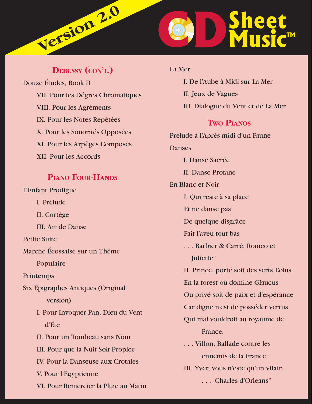<span id="page-3-0"></span>

#### **DEBUSSY (CON'T.)**

Douze Études, Book II VII. Pour les Dégres Chromatiques VIII. Pour les Agréments IX. Pour les Notes Repétées X. Pour les Sonorités Opposées XI. Pour les Arpèges Composés XII. Pour les Accords

#### **PIANO FOUR-HANDS**

# L'Enfant Prodigue I. Prélude II. Cortège III. Air de Danse Petite Suite Marche Écossaise sur un Thème Populaire Printemps Six Épigraphes Antiques (Original version) I. Pour Invoquer Pan, Dieu du Vent d'Éte II. Pour un Tombeau sans Nom III. Pour que la Nuit Soit Propice IV. Pour la Danseuse aux Crotales V. Pour l'Egyptienne VI. Pour Remercier la Pluie au Matin

La Mer I. De l'Aube à Midi sur La Mer II. Jeux de Vagues III. Dialogue du Vent et de La Mer **TWO PIANOS** Prélude à l'Après-midi d'un Faune **Danses**  I. Danse Sacrée II. Danse Profane En Blanc et Noir I. Qui reste à sa place Et ne danse pas De quelque disgrâce Fait l'aveu tout bas . . . Barbier & Carré, Romeo et Juliette" II. Prince, porté soit des serfs Eolus En la forest ou domine Glaucus Ou privé soit de paix et d'espérance Car digne n'est de posséder vertus Qui mal vouldroit au royaume de France. . . . Villon, Ballade contre les ennemis de la France" III. Yver, vous n'este qu'un vilain . . . . . Charles d'Orleans"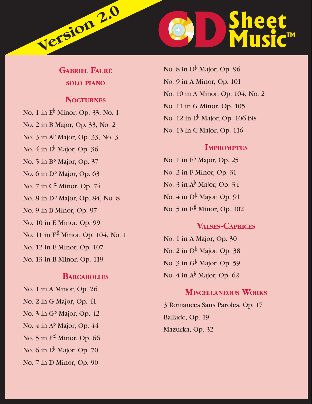<span id="page-4-0"></span>

#### **GABRIEL FAURÉ SOLO PIANO**

#### **NOCTURNES**

No. 1 in  $E^{\flat}$  Minor, Op. 33, No. 1

No. 2 in B Major, Op. 33, No. 2

- No. 3 in Ab Major, Op. 33, No. 3
- No. 4 in  $E^{\flat}$  Major, Op. 36
- No. 5 in  $B^{\flat}$  Major, Op. 37
- No. 6 in  $D^{\flat}$  Major, Op. 63
- No. 7 in C# Minor, Op. 74
- No. 8 in  $D^{\flat}$  Major, Op. 84, No. 8
- No. 9 in B Minor, Op. 97
- No. 10 in E Minor, Op. 99
- No. 11 in F# Minor, Op. 104, No. 1
- No. 12 in E Minor, Op. 107
- No. 13 in B Minor, Op. 119

#### **BARCAROLLES**

- No. 1 in A Minor, Op. 26
- No. 2 in G Major, Op. 41
- No. 3 in  $G^{\flat}$  Major, Op. 42
- No. 4 in A<sup>b</sup> Major, Op. 44
- No. 5 in  $F^{\#}$  Minor, Op. 66
- No. 6 in  $E^{\flat}$  Major, Op. 70
- No. 7 in D Minor, Op. 90

No. 8 in  $D^b$  Major, Op. 96 No. 9 in A Minor, Op. 101 No. 10 in A Minor, Op. 104, No. 2 No. 11 in G Minor, Op. 105 No. 12 in  $E^{\flat}$  Major, Op. 106 bis No. 13 in C Major, Op. 116

#### **IMPROMPTUS**

No. 1 in  $E^{\flat}$  Major, Op. 25 No. 2 in F Minor, Op. 31 No. 3 in  $A^{\flat}$  Major, Op. 34 No. 4 in  $D^{\flat}$  Major, Op. 91 No. 5 in  $F^{\sharp}$  Minor, Op. 102

#### **VALSES-CAPRICES**

No. 1 in A Major, Op. 30 No. 2 in  $D^b$  Major, Op. 38 No. 3 in G<sup>b</sup> Major, Op. 59 No. 4 in  $A^{\flat}$  Major, Op. 62

#### **MISCELLANEOUS WORKS**

3 Romances Sans Paroles, Op. 17 Ballade, Op. 19 Mazurka, Op. 32